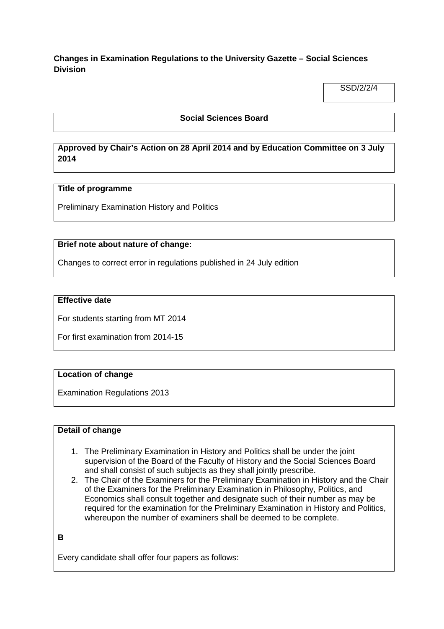# **Changes in Examination Regulations to the University Gazette – Social Sciences Division**

SSD/2/2/4

### **Social Sciences Board**

# **Approved by Chair's Action on 28 April 2014 and by Education Committee on 3 July 2014**

### **Title of programme**

Preliminary Examination History and Politics

### **Brief note about nature of change:**

Changes to correct error in regulations published in 24 July edition

#### **Effective date**

For students starting from MT 2014

For first examination from 2014-15

### **Location of change**

Examination Regulations 2013

### **Detail of change**

- 1. The Preliminary Examination in History and Politics shall be under the joint supervision of the Board of the Faculty of History and the Social Sciences Board and shall consist of such subjects as they shall jointly prescribe.
- 2. The Chair of the Examiners for the Preliminary Examination in History and the Chair of the Examiners for the Preliminary Examination in Philosophy, Politics, and Economics shall consult together and designate such of their number as may be required for the examination for the Preliminary Examination in History and Politics, whereupon the number of examiners shall be deemed to be complete.

```
B
```
Every candidate shall offer four papers as follows: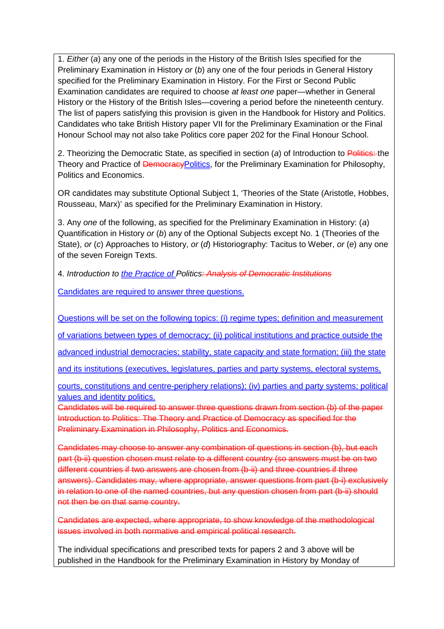1. *Either* (*a*) any one of the periods in the History of the British Isles specified for the Preliminary Examination in History *or* (*b*) any one of the four periods in General History specified for the Preliminary Examination in History. For the First or Second Public Examination candidates are required to choose *at least one* paper—whether in General History or the History of the British Isles—covering a period before the nineteenth century. The list of papers satisfying this provision is given in the Handbook for History and Politics. Candidates who take British History paper VII for the Preliminary Examination or the Final Honour School may not also take Politics core paper 202 for the Final Honour School.

2. Theorizing the Democratic State, as specified in section (*a*) of Introduction to Politics: the Theory and Practice of *DemocracyPolitics*, for the Preliminary Examination for Philosophy, Politics and Economics.

OR candidates may substitute Optional Subject 1, 'Theories of the State (Aristotle, Hobbes, Rousseau, Marx)' as specified for the Preliminary Examination in History.

3. Any *one* of the following, as specified for the Preliminary Examination in History: (*a*) Quantification in History *or* (*b*) any of the Optional Subjects except No. 1 (Theories of the State), *or* (*c*) Approaches to History, *or* (*d*) Historiography: Tacitus to Weber, *or* (*e*) any one of the seven Foreign Texts.

4. *Introduction to the Practice of Politics: Analysis of Democratic Institutions*

Candidates are required to answer three questions.

Questions will be set on the following topics: (i) regime types; definition and measurement

of variations between types of democracy; (ii) political institutions and practice outside the

advanced industrial democracies; stability, state capacity and state formation; (iii) the state

and its institutions (executives, legislatures, parties and party systems, electoral systems,

courts, constitutions and centre-periphery relations); (iv) parties and party systems; political values and identity politics.

Candidates will be required to answer three questions drawn from section (b) of the paper Introduction to Politics: The Theory and Practice of Democracy as specified for the Preliminary Examination in Philosophy, Politics and Economics.

Candidates may choose to answer any combination of questions in section (b), but each part (b-ii) question chosen must relate to a different country (so answers must be on two different countries if two answers are chosen from (b-ii) and three countries if three answers). Candidates may, where appropriate, answer questions from part (b-i) exclusively in relation to one of the named countries, but any question chosen from part (b-ii) should not then be on that same country.

Candidates are expected, where appropriate, to show knowledge of the methodological issues involved in both normative and empirical political research.

The individual specifications and prescribed texts for papers 2 and 3 above will be published in the Handbook for the Preliminary Examination in History by Monday of